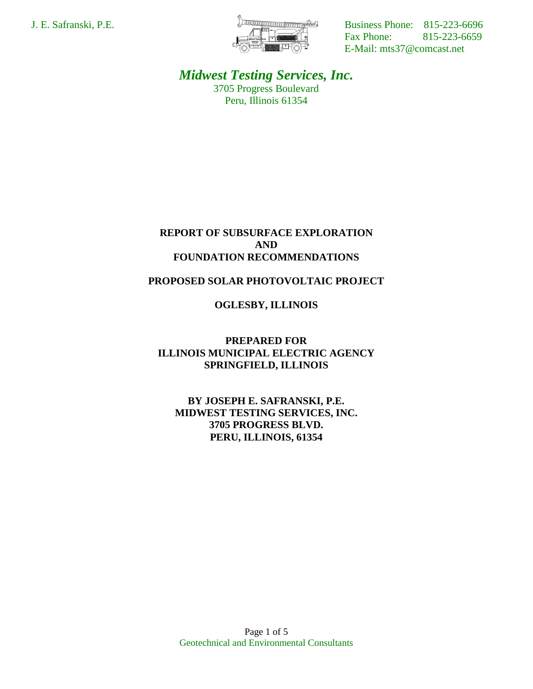

J. E. Safranski, P.E. **Business Phone:** 815-223-6696 Fax Phone: 815-223-6659 E-Mail: mts37@comcast.net

> *Midwest Testing Services, Inc.* 3705 Progress Boulevard Peru, Illinois 61354

# **REPORT OF SUBSURFACE EXPLORATION AND FOUNDATION RECOMMENDATIONS**

# **PROPOSED SOLAR PHOTOVOLTAIC PROJECT**

# **OGLESBY, ILLINOIS**

**PREPARED FOR ILLINOIS MUNICIPAL ELECTRIC AGENCY SPRINGFIELD, ILLINOIS**

**BY JOSEPH E. SAFRANSKI, P.E. MIDWEST TESTING SERVICES, INC. 3705 PROGRESS BLVD. PERU, ILLINOIS, 61354**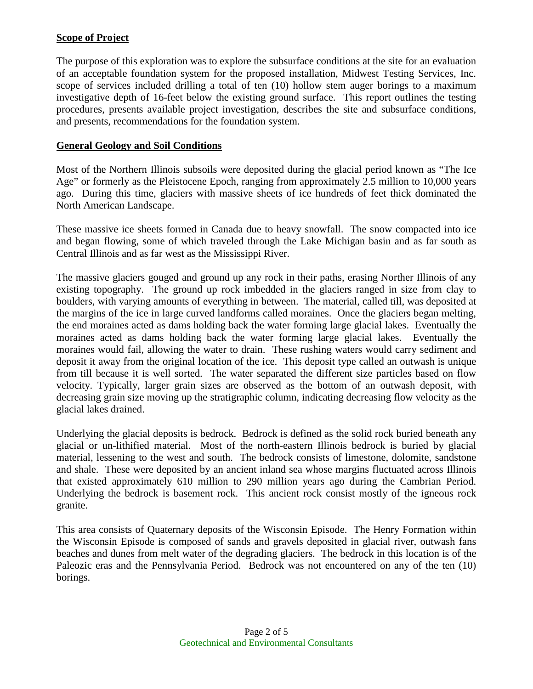# **Scope of Project**

The purpose of this exploration was to explore the subsurface conditions at the site for an evaluation of an acceptable foundation system for the proposed installation, Midwest Testing Services, Inc. scope of services included drilling a total of ten (10) hollow stem auger borings to a maximum investigative depth of 16-feet below the existing ground surface. This report outlines the testing procedures, presents available project investigation, describes the site and subsurface conditions, and presents, recommendations for the foundation system.

# **General Geology and Soil Conditions**

Most of the Northern Illinois subsoils were deposited during the glacial period known as "The Ice Age" or formerly as the Pleistocene Epoch, ranging from approximately 2.5 million to 10,000 years ago. During this time, glaciers with massive sheets of ice hundreds of feet thick dominated the North American Landscape.

These massive ice sheets formed in Canada due to heavy snowfall. The snow compacted into ice and began flowing, some of which traveled through the Lake Michigan basin and as far south as Central Illinois and as far west as the Mississippi River.

The massive glaciers gouged and ground up any rock in their paths, erasing Norther Illinois of any existing topography. The ground up rock imbedded in the glaciers ranged in size from clay to boulders, with varying amounts of everything in between. The material, called till, was deposited at the margins of the ice in large curved landforms called moraines. Once the glaciers began melting, the end moraines acted as dams holding back the water forming large glacial lakes. Eventually the moraines acted as dams holding back the water forming large glacial lakes. Eventually the moraines would fail, allowing the water to drain. These rushing waters would carry sediment and deposit it away from the original location of the ice. This deposit type called an outwash is unique from till because it is well sorted. The water separated the different size particles based on flow velocity. Typically, larger grain sizes are observed as the bottom of an outwash deposit, with decreasing grain size moving up the stratigraphic column, indicating decreasing flow velocity as the glacial lakes drained.

Underlying the glacial deposits is bedrock. Bedrock is defined as the solid rock buried beneath any glacial or un-lithified material. Most of the north-eastern Illinois bedrock is buried by glacial material, lessening to the west and south. The bedrock consists of limestone, dolomite, sandstone and shale. These were deposited by an ancient inland sea whose margins fluctuated across Illinois that existed approximately 610 million to 290 million years ago during the Cambrian Period. Underlying the bedrock is basement rock. This ancient rock consist mostly of the igneous rock granite.

This area consists of Quaternary deposits of the Wisconsin Episode. The Henry Formation within the Wisconsin Episode is composed of sands and gravels deposited in glacial river, outwash fans beaches and dunes from melt water of the degrading glaciers. The bedrock in this location is of the Paleozic eras and the Pennsylvania Period. Bedrock was not encountered on any of the ten (10) borings.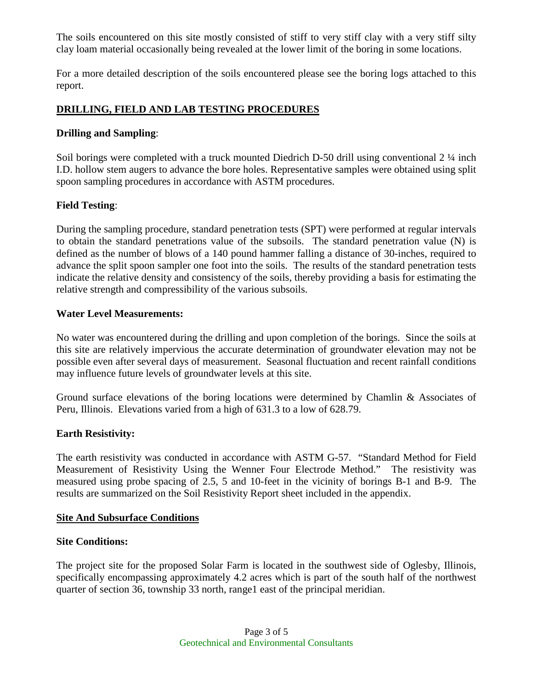The soils encountered on this site mostly consisted of stiff to very stiff clay with a very stiff silty clay loam material occasionally being revealed at the lower limit of the boring in some locations.

For a more detailed description of the soils encountered please see the boring logs attached to this report.

# **DRILLING, FIELD AND LAB TESTING PROCEDURES**

#### **Drilling and Sampling**:

Soil borings were completed with a truck mounted Diedrich D-50 drill using conventional 2  $\frac{1}{4}$  inch I.D. hollow stem augers to advance the bore holes. Representative samples were obtained using split spoon sampling procedures in accordance with ASTM procedures.

## **Field Testing**:

During the sampling procedure, standard penetration tests (SPT) were performed at regular intervals to obtain the standard penetrations value of the subsoils. The standard penetration value (N) is defined as the number of blows of a 140 pound hammer falling a distance of 30-inches, required to advance the split spoon sampler one foot into the soils. The results of the standard penetration tests indicate the relative density and consistency of the soils, thereby providing a basis for estimating the relative strength and compressibility of the various subsoils.

#### **Water Level Measurements:**

No water was encountered during the drilling and upon completion of the borings. Since the soils at this site are relatively impervious the accurate determination of groundwater elevation may not be possible even after several days of measurement. Seasonal fluctuation and recent rainfall conditions may influence future levels of groundwater levels at this site.

Ground surface elevations of the boring locations were determined by Chamlin & Associates of Peru, Illinois. Elevations varied from a high of 631.3 to a low of 628.79.

## **Earth Resistivity:**

The earth resistivity was conducted in accordance with ASTM G-57. "Standard Method for Field Measurement of Resistivity Using the Wenner Four Electrode Method." The resistivity was measured using probe spacing of 2.5, 5 and 10-feet in the vicinity of borings B-1 and B-9. The results are summarized on the Soil Resistivity Report sheet included in the appendix.

#### **Site And Subsurface Conditions**

#### **Site Conditions:**

The project site for the proposed Solar Farm is located in the southwest side of Oglesby, Illinois, specifically encompassing approximately 4.2 acres which is part of the south half of the northwest quarter of section 36, township 33 north, range1 east of the principal meridian.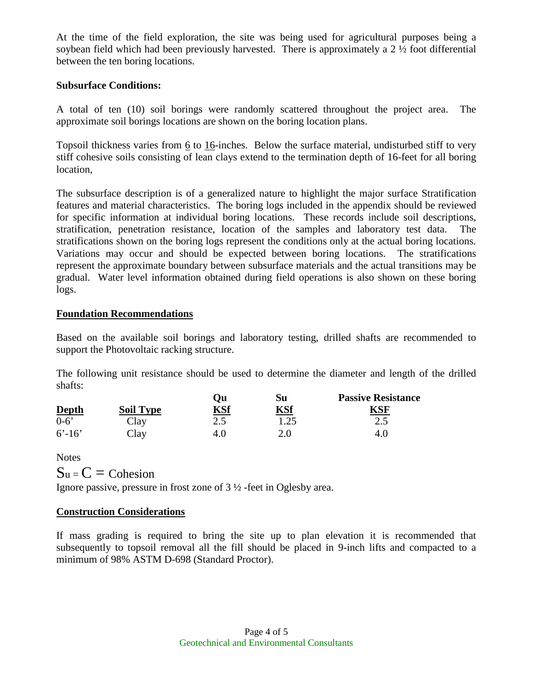At the time of the field exploration, the site was being used for agricultural purposes being a soybean field which had been previously harvested. There is approximately a 2 ½ foot differential between the ten boring locations.

### **Subsurface Conditions:**

A total of ten (10) soil borings were randomly scattered throughout the project area. The approximate soil borings locations are shown on the boring location plans.

Topsoil thickness varies from 6 to 16-inches. Below the surface material, undisturbed stiff to very stiff cohesive soils consisting of lean clays extend to the termination depth of 16-feet for all boring location,

The subsurface description is of a generalized nature to highlight the major surface Stratification features and material characteristics. The boring logs included in the appendix should be reviewed for specific information at individual boring locations. These records include soil descriptions, stratification, penetration resistance, location of the samples and laboratory test data. The stratifications shown on the boring logs represent the conditions only at the actual boring locations. Variations may occur and should be expected between boring locations. The stratifications represent the approximate boundary between subsurface materials and the actual transitions may be gradual. Water level information obtained during field operations is also shown on these boring logs.

## **Foundation Recommendations**

Based on the available soil borings and laboratory testing, drilled shafts are recommended to support the Photovoltaic racking structure.

The following unit resistance should be used to determine the diameter and length of the drilled shafts:

| <b>Depth</b> | <b>Soil Type</b> | Эu<br><b>KSf</b> | Su<br><u>KSf</u> | <b>Passive Resistance</b> |
|--------------|------------------|------------------|------------------|---------------------------|
|              |                  |                  |                  |                           |
| $6' - 16'$   | Clay             |                  |                  | 4.0                       |

**Notes** 

 $S_u = C = \text{Cohesion}$ 

Ignore passive, pressure in frost zone of 3 ½ -feet in Oglesby area.

## **Construction Considerations**

If mass grading is required to bring the site up to plan elevation it is recommended that subsequently to topsoil removal all the fill should be placed in 9-inch lifts and compacted to a minimum of 98% ASTM D-698 (Standard Proctor).